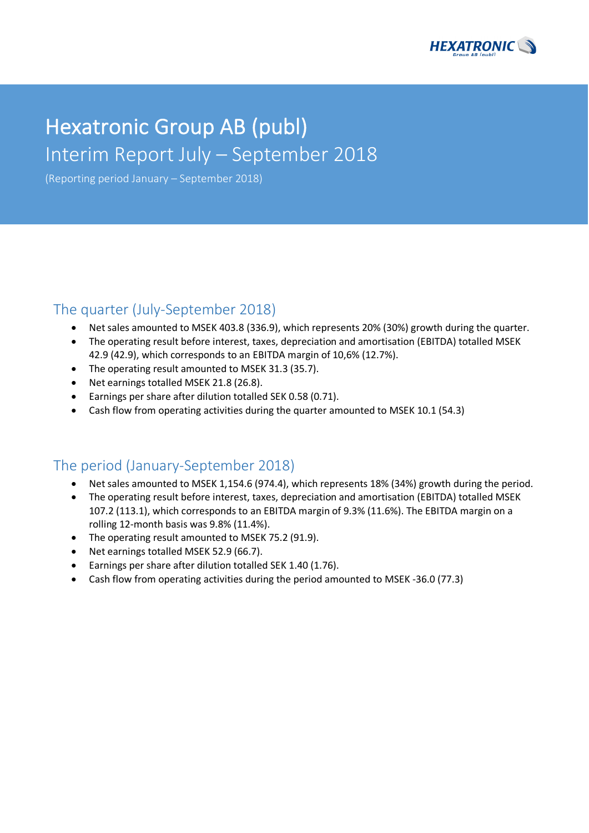

# Hexatronic Group AB (publ) Interim Report July – September 2018

(Reporting period January – September 2018)

### The quarter (July-September 2018)

- Net sales amounted to MSEK 403.8 (336.9), which represents 20% (30%) growth during the quarter.
- The operating result before interest, taxes, depreciation and amortisation (EBITDA) totalled MSEK 42.9 (42.9), which corresponds to an EBITDA margin of 10,6% (12.7%).
- The operating result amounted to MSEK 31.3 (35.7).
- Net earnings totalled MSEK 21.8 (26.8).
- Earnings per share after dilution totalled SEK 0.58 (0.71).
- Cash flow from operating activities during the quarter amounted to MSEK 10.1 (54.3)

# The period (January-September 2018)

- Net sales amounted to MSEK 1,154.6 (974.4), which represents 18% (34%) growth during the period.
- The operating result before interest, taxes, depreciation and amortisation (EBITDA) totalled MSEK 107.2 (113.1), which corresponds to an EBITDA margin of 9.3% (11.6%). The EBITDA margin on a rolling 12-month basis was 9.8% (11.4%).
- The operating result amounted to MSEK 75.2 (91.9).
- Net earnings totalled MSEK 52.9 (66.7).
- Earnings per share after dilution totalled SEK 1.40 (1.76).
- Cash flow from operating activities during the period amounted to MSEK -36.0 (77.3)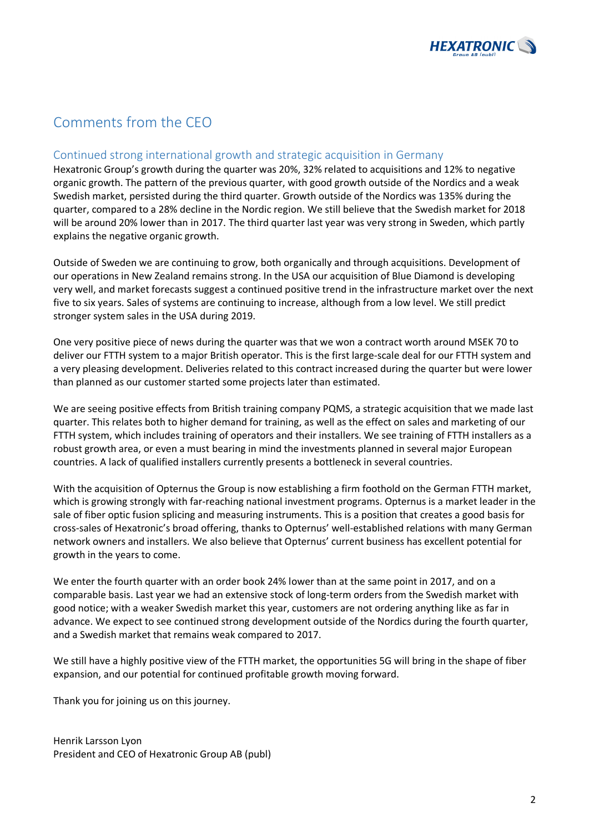

# Comments from the CEO

### Continued strong international growth and strategic acquisition in Germany

Hexatronic Group's growth during the quarter was 20%, 32% related to acquisitions and 12% to negative organic growth. The pattern of the previous quarter, with good growth outside of the Nordics and a weak Swedish market, persisted during the third quarter. Growth outside of the Nordics was 135% during the quarter, compared to a 28% decline in the Nordic region. We still believe that the Swedish market for 2018 will be around 20% lower than in 2017. The third quarter last year was very strong in Sweden, which partly explains the negative organic growth.

Outside of Sweden we are continuing to grow, both organically and through acquisitions. Development of our operations in New Zealand remains strong. In the USA our acquisition of Blue Diamond is developing very well, and market forecasts suggest a continued positive trend in the infrastructure market over the next five to six years. Sales of systems are continuing to increase, although from a low level. We still predict stronger system sales in the USA during 2019.

One very positive piece of news during the quarter was that we won a contract worth around MSEK 70 to deliver our FTTH system to a major British operator. This is the first large-scale deal for our FTTH system and a very pleasing development. Deliveries related to this contract increased during the quarter but were lower than planned as our customer started some projects later than estimated.

We are seeing positive effects from British training company PQMS, a strategic acquisition that we made last quarter. This relates both to higher demand for training, as well as the effect on sales and marketing of our FTTH system, which includes training of operators and their installers. We see training of FTTH installers as a robust growth area, or even a must bearing in mind the investments planned in several major European countries. A lack of qualified installers currently presents a bottleneck in several countries.

With the acquisition of Opternus the Group is now establishing a firm foothold on the German FTTH market, which is growing strongly with far-reaching national investment programs. Opternus is a market leader in the sale of fiber optic fusion splicing and measuring instruments. This is a position that creates a good basis for cross-sales of Hexatronic's broad offering, thanks to Opternus' well-established relations with many German network owners and installers. We also believe that Opternus' current business has excellent potential for growth in the years to come.

We enter the fourth quarter with an order book 24% lower than at the same point in 2017, and on a comparable basis. Last year we had an extensive stock of long-term orders from the Swedish market with good notice; with a weaker Swedish market this year, customers are not ordering anything like as far in advance. We expect to see continued strong development outside of the Nordics during the fourth quarter, and a Swedish market that remains weak compared to 2017.

We still have a highly positive view of the FTTH market, the opportunities 5G will bring in the shape of fiber expansion, and our potential for continued profitable growth moving forward.

Thank you for joining us on this journey.

Henrik Larsson Lyon President and CEO of Hexatronic Group AB (publ)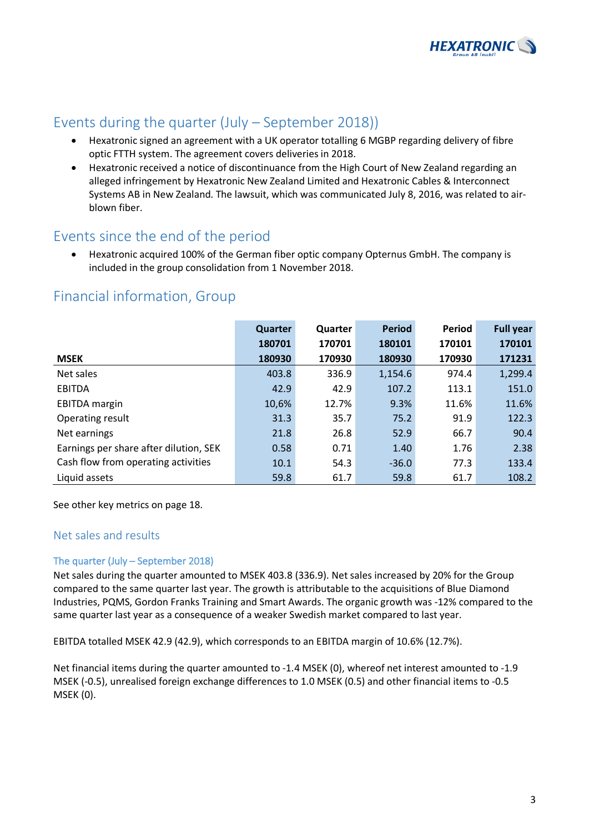

# Events during the quarter (July – September 2018))

- Hexatronic signed an agreement with a UK operator totalling 6 MGBP regarding delivery of fibre optic FTTH system. The agreement covers deliveries in 2018.
- Hexatronic received a notice of discontinuance from the High Court of New Zealand regarding an alleged infringement by Hexatronic New Zealand Limited and Hexatronic Cables & Interconnect Systems AB in New Zealand. The lawsuit, which was communicated July 8, 2016, was related to airblown fiber.

### Events since the end of the period

• Hexatronic acquired 100% of the German fiber optic company Opternus GmbH. The company is included in the group consolidation from 1 November 2018.

# Financial information, Group

|                                        | Quarter | Quarter | <b>Period</b> | Period | <b>Full year</b> |
|----------------------------------------|---------|---------|---------------|--------|------------------|
|                                        | 180701  | 170701  | 180101        | 170101 | 170101           |
| <b>MSEK</b>                            | 180930  | 170930  | 180930        | 170930 | 171231           |
| Net sales                              | 403.8   | 336.9   | 1,154.6       | 974.4  | 1,299.4          |
| <b>EBITDA</b>                          | 42.9    | 42.9    | 107.2         | 113.1  | 151.0            |
| <b>EBITDA</b> margin                   | 10,6%   | 12.7%   | 9.3%          | 11.6%  | 11.6%            |
| Operating result                       | 31.3    | 35.7    | 75.2          | 91.9   | 122.3            |
| Net earnings                           | 21.8    | 26.8    | 52.9          | 66.7   | 90.4             |
| Earnings per share after dilution, SEK | 0.58    | 0.71    | 1.40          | 1.76   | 2.38             |
| Cash flow from operating activities    | 10.1    | 54.3    | $-36.0$       | 77.3   | 133.4            |
| Liquid assets                          | 59.8    | 61.7    | 59.8          | 61.7   | 108.2            |

See other key metrics on page 18.

### Net sales and results

### The quarter (July – September 2018)

Net sales during the quarter amounted to MSEK 403.8 (336.9). Net sales increased by 20% for the Group compared to the same quarter last year. The growth is attributable to the acquisitions of Blue Diamond Industries, PQMS, Gordon Franks Training and Smart Awards. The organic growth was -12% compared to the same quarter last year as a consequence of a weaker Swedish market compared to last year.

EBITDA totalled MSEK 42.9 (42.9), which corresponds to an EBITDA margin of 10.6% (12.7%).

Net financial items during the quarter amounted to -1.4 MSEK (0), whereof net interest amounted to -1.9 MSEK (-0.5), unrealised foreign exchange differences to 1.0 MSEK (0.5) and other financial items to -0.5 MSEK (0).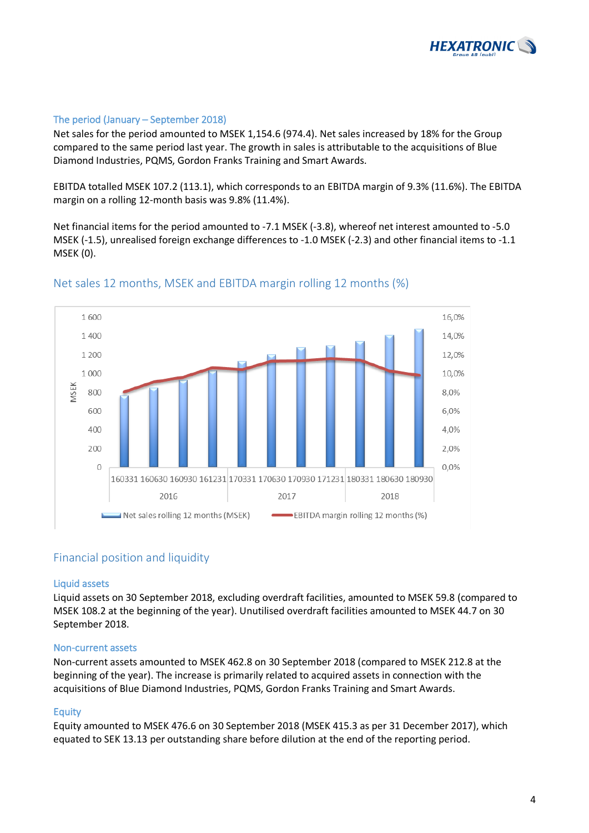

### The period (January – September 2018)

Net sales for the period amounted to MSEK 1,154.6 (974.4). Net sales increased by 18% for the Group compared to the same period last year. The growth in sales is attributable to the acquisitions of Blue Diamond Industries, PQMS, Gordon Franks Training and Smart Awards.

EBITDA totalled MSEK 107.2 (113.1), which corresponds to an EBITDA margin of 9.3% (11.6%). The EBITDA margin on a rolling 12-month basis was 9.8% (11.4%).

Net financial items for the period amounted to -7.1 MSEK (-3.8), whereof net interest amounted to -5.0 MSEK (-1.5), unrealised foreign exchange differences to -1.0 MSEK (-2.3) and other financial items to -1.1 MSEK (0).



### Net sales 12 months, MSEK and EBITDA margin rolling 12 months (%)

### Financial position and liquidity

#### Liquid assets

Liquid assets on 30 September 2018, excluding overdraft facilities, amounted to MSEK 59.8 (compared to MSEK 108.2 at the beginning of the year). Unutilised overdraft facilities amounted to MSEK 44.7 on 30 September 2018.

#### Non-current assets

Non-current assets amounted to MSEK 462.8 on 30 September 2018 (compared to MSEK 212.8 at the beginning of the year). The increase is primarily related to acquired assets in connection with the acquisitions of Blue Diamond Industries, PQMS, Gordon Franks Training and Smart Awards.

#### Equity

Equity amounted to MSEK 476.6 on 30 September 2018 (MSEK 415.3 as per 31 December 2017), which equated to SEK 13.13 per outstanding share before dilution at the end of the reporting period.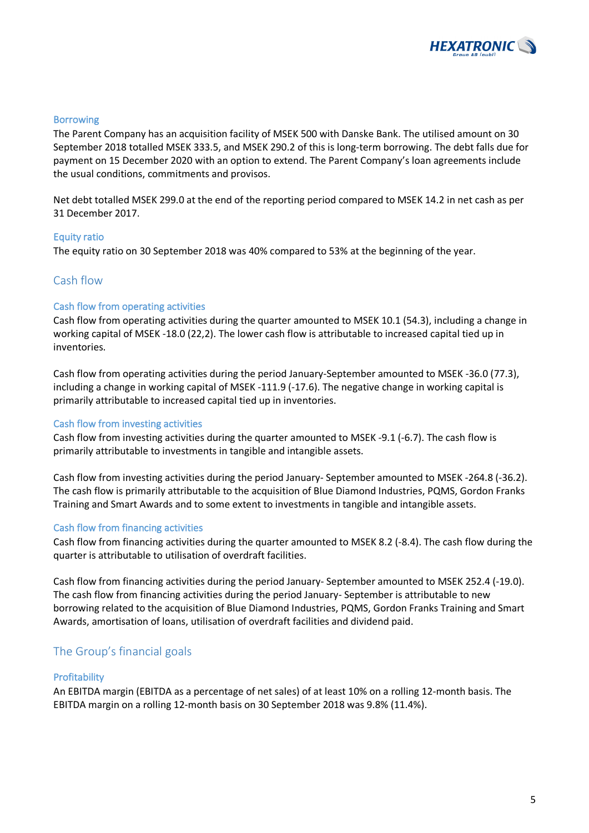

#### Borrowing

The Parent Company has an acquisition facility of MSEK 500 with Danske Bank. The utilised amount on 30 September 2018 totalled MSEK 333.5, and MSEK 290.2 of this is long-term borrowing. The debt falls due for payment on 15 December 2020 with an option to extend. The Parent Company's loan agreements include the usual conditions, commitments and provisos.

Net debt totalled MSEK 299.0 at the end of the reporting period compared to MSEK 14.2 in net cash as per 31 December 2017.

#### Equity ratio

The equity ratio on 30 September 2018 was 40% compared to 53% at the beginning of the year.

### Cash flow

#### Cash flow from operating activities

Cash flow from operating activities during the quarter amounted to MSEK 10.1 (54.3), including a change in working capital of MSEK -18.0 (22,2). The lower cash flow is attributable to increased capital tied up in inventories.

Cash flow from operating activities during the period January-September amounted to MSEK -36.0 (77.3), including a change in working capital of MSEK -111.9 (-17.6). The negative change in working capital is primarily attributable to increased capital tied up in inventories.

#### Cash flow from investing activities

Cash flow from investing activities during the quarter amounted to MSEK -9.1 (-6.7). The cash flow is primarily attributable to investments in tangible and intangible assets.

Cash flow from investing activities during the period January- September amounted to MSEK -264.8 (-36.2). The cash flow is primarily attributable to the acquisition of Blue Diamond Industries, PQMS, Gordon Franks Training and Smart Awards and to some extent to investments in tangible and intangible assets.

#### Cash flow from financing activities

Cash flow from financing activities during the quarter amounted to MSEK 8.2 (-8.4). The cash flow during the quarter is attributable to utilisation of overdraft facilities.

Cash flow from financing activities during the period January- September amounted to MSEK 252.4 (-19.0). The cash flow from financing activities during the period January- September is attributable to new borrowing related to the acquisition of Blue Diamond Industries, PQMS, Gordon Franks Training and Smart Awards, amortisation of loans, utilisation of overdraft facilities and dividend paid.

### The Group's financial goals

#### **Profitability**

An EBITDA margin (EBITDA as a percentage of net sales) of at least 10% on a rolling 12-month basis. The EBITDA margin on a rolling 12-month basis on 30 September 2018 was 9.8% (11.4%).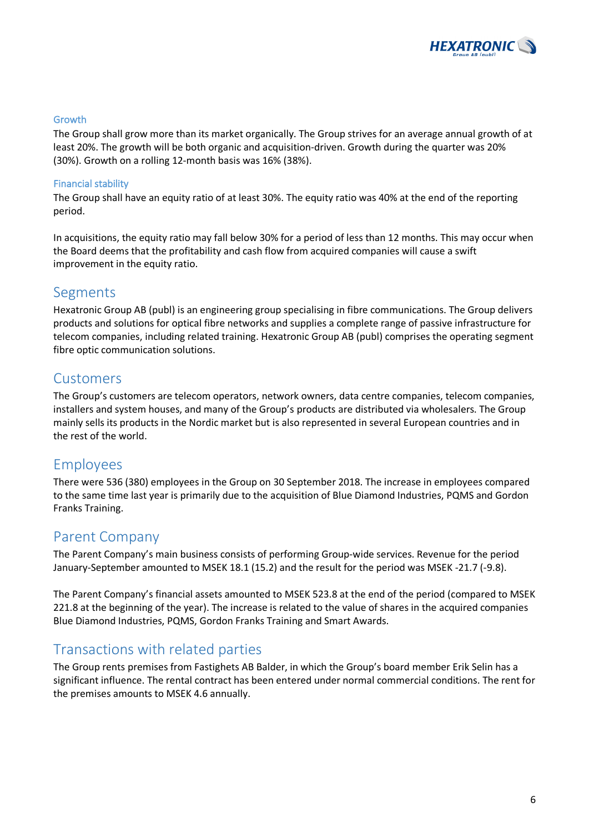

### Growth

The Group shall grow more than its market organically. The Group strives for an average annual growth of at least 20%. The growth will be both organic and acquisition-driven. Growth during the quarter was 20% (30%). Growth on a rolling 12-month basis was 16% (38%).

#### Financial stability

The Group shall have an equity ratio of at least 30%. The equity ratio was 40% at the end of the reporting period.

In acquisitions, the equity ratio may fall below 30% for a period of less than 12 months. This may occur when the Board deems that the profitability and cash flow from acquired companies will cause a swift improvement in the equity ratio.

### Segments

Hexatronic Group AB (publ) is an engineering group specialising in fibre communications. The Group delivers products and solutions for optical fibre networks and supplies a complete range of passive infrastructure for telecom companies, including related training. Hexatronic Group AB (publ) comprises the operating segment fibre optic communication solutions.

### Customers

The Group's customers are telecom operators, network owners, data centre companies, telecom companies, installers and system houses, and many of the Group's products are distributed via wholesalers. The Group mainly sells its products in the Nordic market but is also represented in several European countries and in the rest of the world.

### Employees

There were 536 (380) employees in the Group on 30 September 2018. The increase in employees compared to the same time last year is primarily due to the acquisition of Blue Diamond Industries, PQMS and Gordon Franks Training.

### Parent Company

The Parent Company's main business consists of performing Group-wide services. Revenue for the period January-September amounted to MSEK 18.1 (15.2) and the result for the period was MSEK -21.7 (-9.8).

The Parent Company's financial assets amounted to MSEK 523.8 at the end of the period (compared to MSEK 221.8 at the beginning of the year). The increase is related to the value of shares in the acquired companies Blue Diamond Industries, PQMS, Gordon Franks Training and Smart Awards.

### Transactions with related parties

The Group rents premises from Fastighets AB Balder, in which the Group's board member Erik Selin has a significant influence. The rental contract has been entered under normal commercial conditions. The rent for the premises amounts to MSEK 4.6 annually.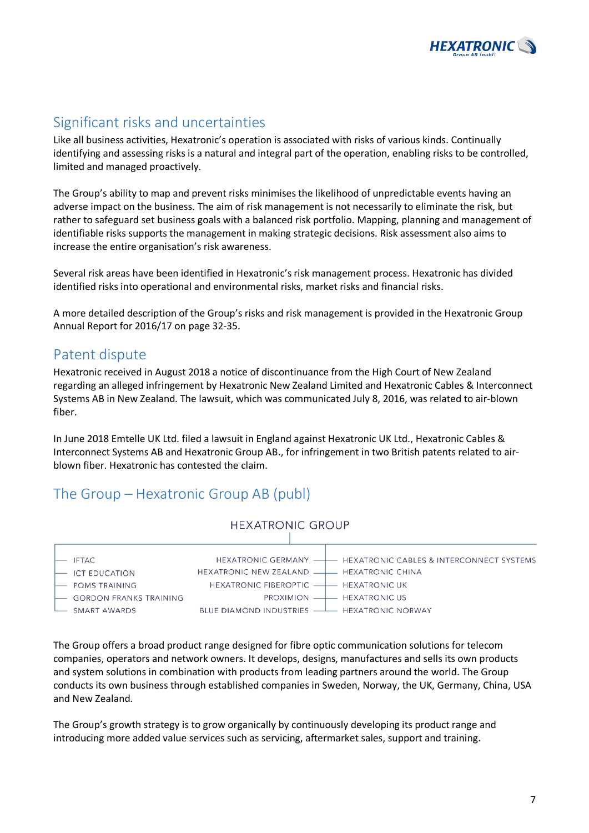

# Significant risks and uncertainties

Like all business activities, Hexatronic's operation is associated with risks of various kinds. Continually identifying and assessing risks is a natural and integral part of the operation, enabling risks to be controlled, limited and managed proactively.

The Group's ability to map and prevent risks minimises the likelihood of unpredictable events having an adverse impact on the business. The aim of risk management is not necessarily to eliminate the risk, but rather to safeguard set business goals with a balanced risk portfolio. Mapping, planning and management of identifiable risks supports the management in making strategic decisions. Risk assessment also aims to increase the entire organisation's risk awareness.

Several risk areas have been identified in Hexatronic's risk management process. Hexatronic has divided identified risks into operational and environmental risks, market risks and financial risks.

A more detailed description of the Group's risks and risk management is provided in the Hexatronic Group Annual Report for 2016/17 on page 32-35.

### Patent dispute

Hexatronic received in August 2018 a notice of discontinuance from the High Court of New Zealand regarding an alleged infringement by Hexatronic New Zealand Limited and Hexatronic Cables & Interconnect Systems AB in New Zealand. The lawsuit, which was communicated July 8, 2016, was related to air-blown fiber.

In June 2018 Emtelle UK Ltd. filed a lawsuit in England against Hexatronic UK Ltd., Hexatronic Cables & Interconnect Systems AB and Hexatronic Group AB., for infringement in two British patents related to airblown fiber. Hexatronic has contested the claim.

# The Group – Hexatronic Group AB (publ)



The Group offers a broad product range designed for fibre optic communication solutions for telecom companies, operators and network owners. It develops, designs, manufactures and sells its own products and system solutions in combination with products from leading partners around the world. The Group conducts its own business through established companies in Sweden, Norway, the UK, Germany, China, USA and New Zealand.

The Group's growth strategy is to grow organically by continuously developing its product range and introducing more added value services such as servicing, aftermarket sales, support and training.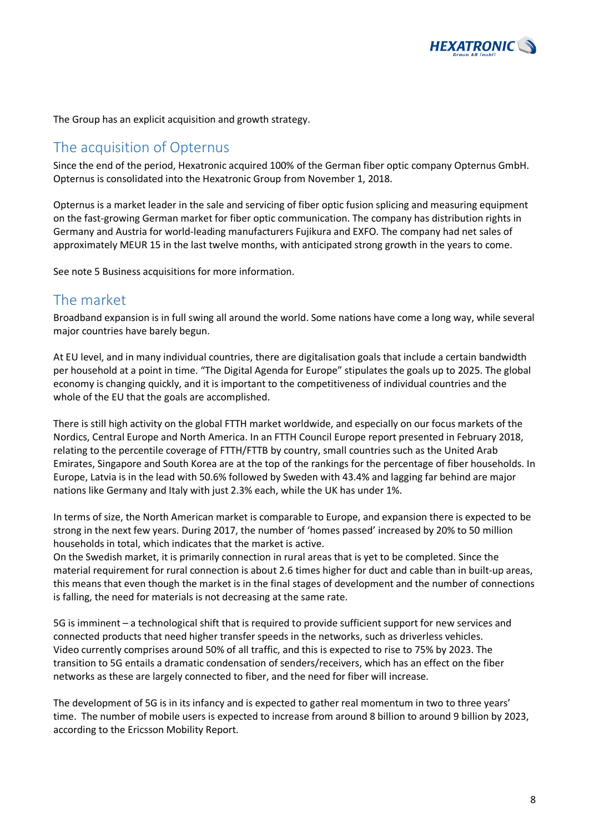

The Group has an explicit acquisition and growth strategy.

### The acquisition of Opternus

Since the end of the period, Hexatronic acquired 100% of the German fiber optic company Opternus GmbH. Opternus is consolidated into the Hexatronic Group from November 1, 2018.

Opternus is a market leader in the sale and servicing of fiber optic fusion splicing and measuring equipment on the fast-growing German market for fiber optic communication. The company has distribution rights in Germany and Austria for world-leading manufacturers Fujikura and EXFO. The company had net sales of approximately MEUR 15 in the last twelve months, with anticipated strong growth in the years to come.

See note 5 Business acquisitions for more information.

### The market

Broadband expansion is in full swing all around the world. Some nations have come a long way, while several major countries have barely begun.

At EU level, and in many individual countries, there are digitalisation goals that include a certain bandwidth per household at a point in time. "The Digital Agenda for Europe" stipulates the goals up to 2025. The global economy is changing quickly, and it is important to the competitiveness of individual countries and the whole of the EU that the goals are accomplished.

There is still high activity on the global FTTH market worldwide, and especially on our focus markets of the Nordics, Central Europe and North America. In an FTTH Council Europe report presented in February 2018, relating to the percentile coverage of FTTH/FTTB by country, small countries such as the United Arab Emirates, Singapore and South Korea are at the top of the rankings for the percentage of fiber households. In Europe, Latvia is in the lead with 50.6% followed by Sweden with 43.4% and lagging far behind are major nations like Germany and Italy with just 2.3% each, while the UK has under 1%.

In terms of size, the North American market is comparable to Europe, and expansion there is expected to be strong in the next few years. During 2017, the number of 'homes passed' increased by 20% to 50 million households in total, which indicates that the market is active.

On the Swedish market, it is primarily connection in rural areas that is yet to be completed. Since the material requirement for rural connection is about 2.6 times higher for duct and cable than in built-up areas, this means that even though the market is in the final stages of development and the number of connections is falling, the need for materials is not decreasing at the same rate.

5G is imminent – a technological shift that is required to provide sufficient support for new services and connected products that need higher transfer speeds in the networks, such as driverless vehicles. Video currently comprises around 50% of all traffic, and this is expected to rise to 75% by 2023. The transition to 5G entails a dramatic condensation of senders/receivers, which has an effect on the fiber networks as these are largely connected to fiber, and the need for fiber will increase.

The development of 5G is in its infancy and is expected to gather real momentum in two to three years' time. The number of mobile users is expected to increase from around 8 billion to around 9 billion by 2023, according to the Ericsson Mobility Report.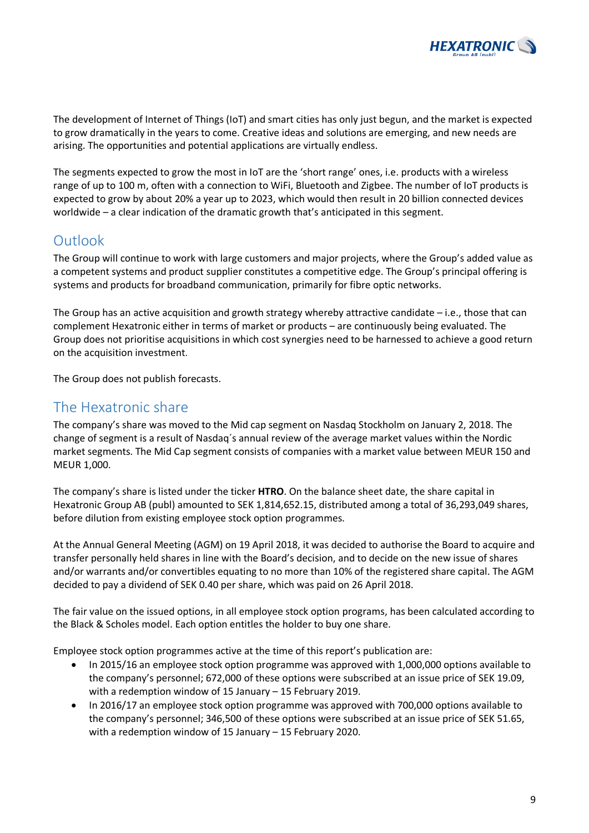

The development of Internet of Things (IoT) and smart cities has only just begun, and the market is expected to grow dramatically in the years to come. Creative ideas and solutions are emerging, and new needs are arising. The opportunities and potential applications are virtually endless.

The segments expected to grow the most in IoT are the 'short range' ones, i.e. products with a wireless range of up to 100 m, often with a connection to WiFi, Bluetooth and Zigbee. The number of IoT products is expected to grow by about 20% a year up to 2023, which would then result in 20 billion connected devices worldwide – a clear indication of the dramatic growth that's anticipated in this segment.

# Outlook

The Group will continue to work with large customers and major projects, where the Group's added value as a competent systems and product supplier constitutes a competitive edge. The Group's principal offering is systems and products for broadband communication, primarily for fibre optic networks.

The Group has an active acquisition and growth strategy whereby attractive candidate  $-i.e.,$  those that can complement Hexatronic either in terms of market or products – are continuously being evaluated. The Group does not prioritise acquisitions in which cost synergies need to be harnessed to achieve a good return on the acquisition investment.

The Group does not publish forecasts.

### The Hexatronic share

The company's share was moved to the Mid cap segment on Nasdaq Stockholm on January 2, 2018. The change of segment is a result of Nasdaq´s annual review of the average market values within the Nordic market segments. The Mid Cap segment consists of companies with a market value between MEUR 150 and MEUR 1,000.

The company's share is listed under the ticker **HTRO**. On the balance sheet date, the share capital in Hexatronic Group AB (publ) amounted to SEK 1,814,652.15, distributed among a total of 36,293,049 shares, before dilution from existing employee stock option programmes.

At the Annual General Meeting (AGM) on 19 April 2018, it was decided to authorise the Board to acquire and transfer personally held shares in line with the Board's decision, and to decide on the new issue of shares and/or warrants and/or convertibles equating to no more than 10% of the registered share capital. The AGM decided to pay a dividend of SEK 0.40 per share, which was paid on 26 April 2018.

The fair value on the issued options, in all employee stock option programs, has been calculated according to the Black & Scholes model. Each option entitles the holder to buy one share.

Employee stock option programmes active at the time of this report's publication are:

- In 2015/16 an employee stock option programme was approved with 1,000,000 options available to the company's personnel; 672,000 of these options were subscribed at an issue price of SEK 19.09, with a redemption window of 15 January – 15 February 2019.
- In 2016/17 an employee stock option programme was approved with 700,000 options available to the company's personnel; 346,500 of these options were subscribed at an issue price of SEK 51.65, with a redemption window of 15 January – 15 February 2020.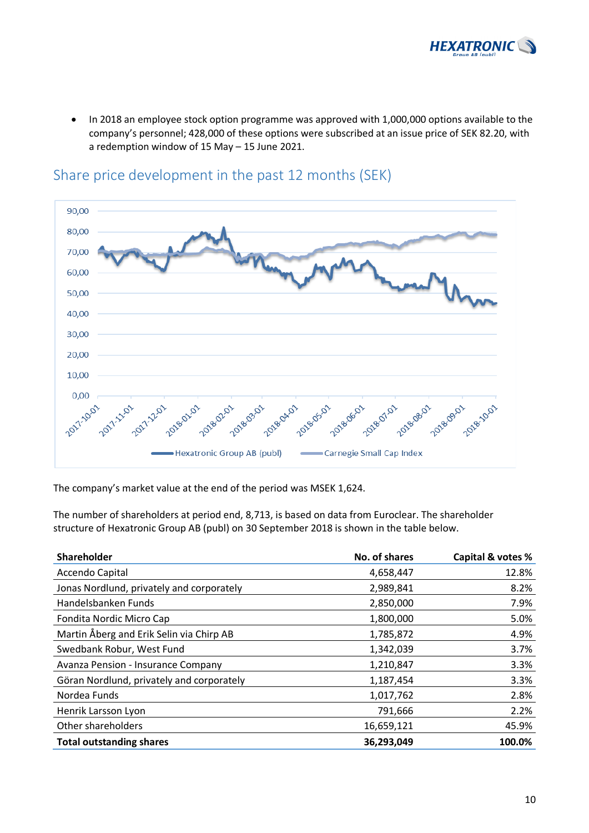

• In 2018 an employee stock option programme was approved with 1,000,000 options available to the company's personnel; 428,000 of these options were subscribed at an issue price of SEK 82.20, with a redemption window of 15 May – 15 June 2021.



### Share price development in the past 12 months (SEK)

The company's market value at the end of the period was MSEK 1,624.

The number of shareholders at period end, 8,713, is based on data from Euroclear. The shareholder structure of Hexatronic Group AB (publ) on 30 September 2018 is shown in the table below.

| Shareholder                               | No. of shares | Capital & votes % |
|-------------------------------------------|---------------|-------------------|
| Accendo Capital                           | 4,658,447     | 12.8%             |
| Jonas Nordlund, privately and corporately | 2,989,841     | 8.2%              |
| Handelsbanken Funds                       | 2,850,000     | 7.9%              |
| Fondita Nordic Micro Cap                  | 1,800,000     | 5.0%              |
| Martin Åberg and Erik Selin via Chirp AB  | 1,785,872     | 4.9%              |
| Swedbank Robur, West Fund                 | 1,342,039     | 3.7%              |
| <b>Avanza Pension - Insurance Company</b> | 1,210,847     | 3.3%              |
| Göran Nordlund, privately and corporately | 1,187,454     | 3.3%              |
| Nordea Funds                              | 1,017,762     | 2.8%              |
| Henrik Larsson Lyon                       | 791,666       | 2.2%              |
| Other shareholders                        | 16,659,121    | 45.9%             |
| <b>Total outstanding shares</b>           | 36,293,049    | 100.0%            |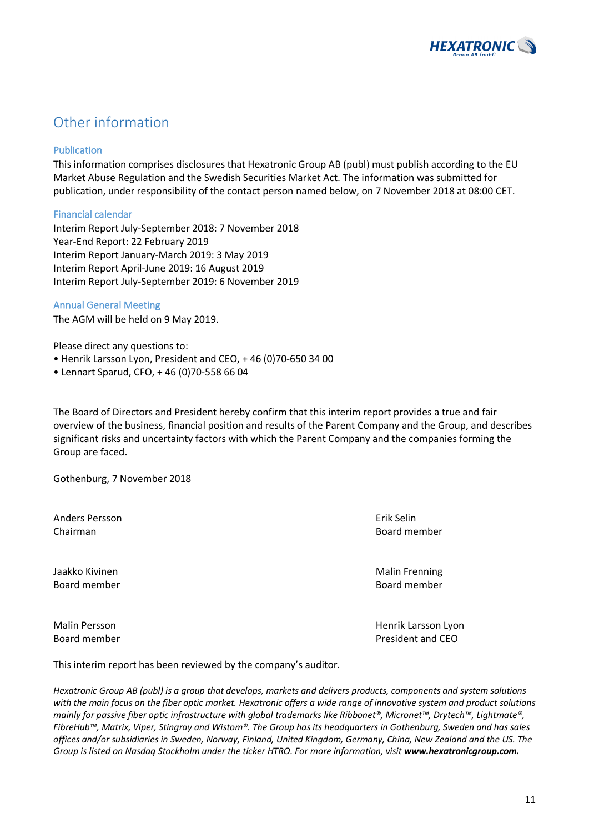

# Other information

### Publication

This information comprises disclosures that Hexatronic Group AB (publ) must publish according to the EU Market Abuse Regulation and the Swedish Securities Market Act. The information was submitted for publication, under responsibility of the contact person named below, on 7 November 2018 at 08:00 CET.

### Financial calendar

Interim Report July-September 2018: 7 November 2018 Year-End Report: 22 February 2019 Interim Report January-March 2019: 3 May 2019 Interim Report April-June 2019: 16 August 2019 Interim Report July-September 2019: 6 November 2019

### Annual General Meeting

The AGM will be held on 9 May 2019.

Please direct any questions to:

- Henrik Larsson Lyon, President and CEO, + 46 (0)70-650 34 00
- Lennart Sparud, CFO, + 46 (0)70-558 66 04

The Board of Directors and President hereby confirm that this interim report provides a true and fair overview of the business, financial position and results of the Parent Company and the Group, and describes significant risks and uncertainty factors with which the Parent Company and the companies forming the Group are faced.

Gothenburg, 7 November 2018

Anders Persson Erik Selin Chairman Board member

Board member Board member

Jaakko Kivinen Malin Frenning (Malin Frenning) waa meesta waa madaxwee Malin Frenning

Malin Persson **Malin Persson** Henrik Larsson Lyon Board member **President and CEO** 

This interim report has been reviewed by the company's auditor.

*Hexatronic Group AB (publ) is a group that develops, markets and delivers products, components and system solutions with the main focus on the fiber optic market. Hexatronic offers a wide range of innovative system and product solutions mainly for passive fiber optic infrastructure with global trademarks like Ribbonet®, Micronet™, Drytech™, Lightmate®, FibreHub™, Matrix, Viper, Stingray and Wistom®. The Group has its headquarters in Gothenburg, Sweden and has sales offices and/or subsidiaries in Sweden, Norway, Finland, United Kingdom, Germany, China, New Zealand and the US. The Group is listed on Nasdaq Stockholm under the ticker HTRO. For more information, visit www.hexatronicgroup.com.*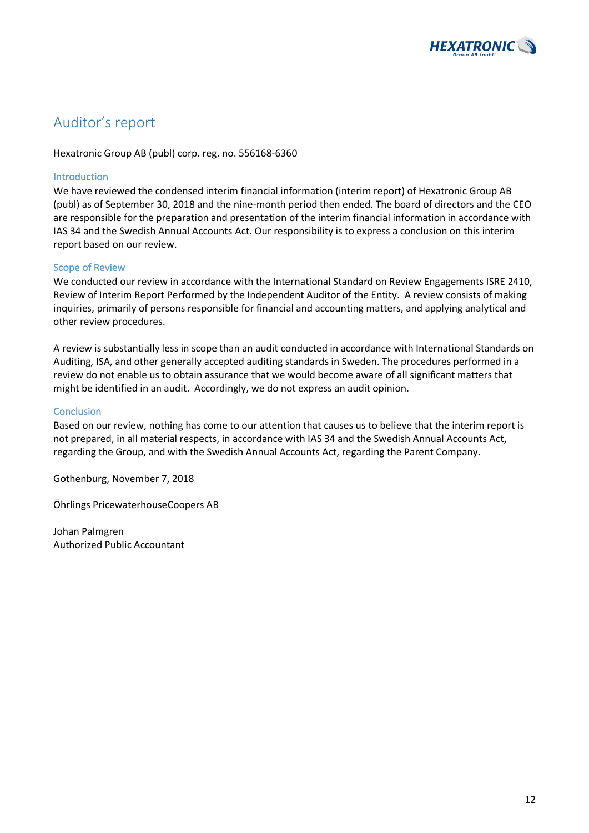

# Auditor's report

Hexatronic Group AB (publ) corp. reg. no. 556168-6360

### Introduction

We have reviewed the condensed interim financial information (interim report) of Hexatronic Group AB (publ) as of September 30, 2018 and the nine-month period then ended. The board of directors and the CEO are responsible for the preparation and presentation of the interim financial information in accordance with IAS 34 and the Swedish Annual Accounts Act. Our responsibility is to express a conclusion on this interim report based on our review.

#### Scope of Review

We conducted our review in accordance with the International Standard on Review Engagements ISRE 2410, Review of Interim Report Performed by the Independent Auditor of the Entity. A review consists of making inquiries, primarily of persons responsible for financial and accounting matters, and applying analytical and other review procedures.

A review is substantially less in scope than an audit conducted in accordance with International Standards on Auditing, ISA, and other generally accepted auditing standards in Sweden. The procedures performed in a review do not enable us to obtain assurance that we would become aware of all significant matters that might be identified in an audit. Accordingly, we do not express an audit opinion.

### Conclusion

Based on our review, nothing has come to our attention that causes us to believe that the interim report is not prepared, in all material respects, in accordance with IAS 34 and the Swedish Annual Accounts Act, regarding the Group, and with the Swedish Annual Accounts Act, regarding the Parent Company.

Gothenburg, November 7, 2018

Öhrlings PricewaterhouseCoopers AB

Johan Palmgren Authorized Public Accountant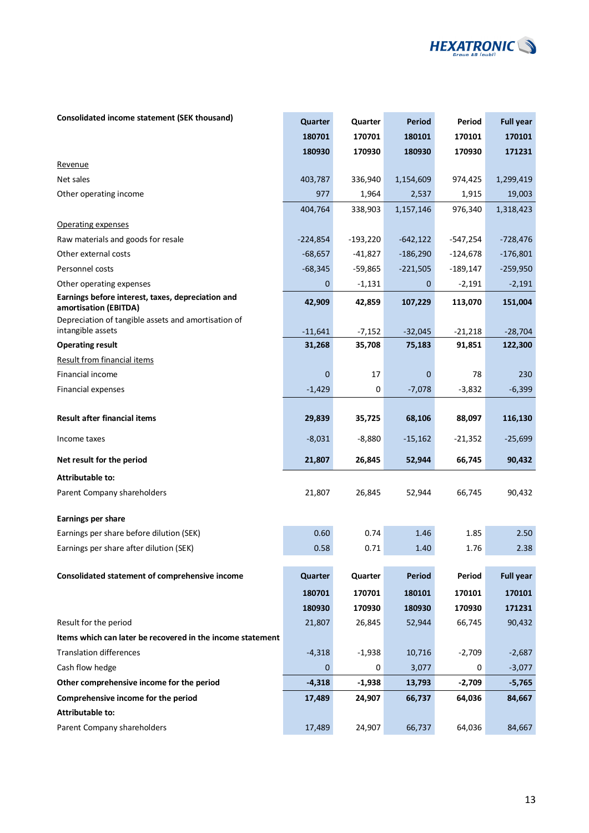

### **Consolidated income statement (SEK thousand) <b>Quarter Quarter Quarter Period Period Full year**

|                                                                            | 180701              | 170701             | 180101              | 170101              | 170101               |
|----------------------------------------------------------------------------|---------------------|--------------------|---------------------|---------------------|----------------------|
|                                                                            | 180930              | 170930             | 180930              | 170930              | 171231               |
| Revenue                                                                    |                     |                    |                     |                     |                      |
| Net sales                                                                  | 403,787             | 336,940            | 1,154,609           | 974,425             | 1,299,419            |
| Other operating income                                                     | 977                 | 1,964              | 2,537               | 1,915               | 19,003               |
|                                                                            | 404,764             | 338,903            | 1,157,146           | 976,340             | 1,318,423            |
| Operating expenses                                                         |                     |                    |                     |                     |                      |
| Raw materials and goods for resale                                         | $-224,854$          | $-193,220$         | $-642,122$          | -547,254            | $-728,476$           |
| Other external costs                                                       | $-68,657$           | $-41,827$          | $-186,290$          | $-124,678$          | $-176,801$           |
| Personnel costs                                                            | $-68,345$           | $-59,865$          | $-221,505$          | $-189,147$          | $-259,950$           |
| Other operating expenses                                                   | 0                   | $-1,131$           | 0                   | $-2,191$            | $-2,191$             |
| Earnings before interest, taxes, depreciation and<br>amortisation (EBITDA) | 42,909              | 42,859             | 107,229             | 113,070             | 151,004              |
| Depreciation of tangible assets and amortisation of<br>intangible assets   |                     |                    |                     |                     |                      |
| <b>Operating result</b>                                                    | $-11,641$<br>31,268 | $-7,152$<br>35,708 | $-32,045$<br>75,183 | $-21,218$<br>91,851 | $-28,704$<br>122,300 |
| <b>Result from financial items</b>                                         |                     |                    |                     |                     |                      |
| Financial income                                                           | $\mathbf 0$         | 17                 | $\mathbf 0$         | 78                  | 230                  |
| Financial expenses                                                         | $-1,429$            | 0                  | $-7,078$            | $-3,832$            | $-6,399$             |
|                                                                            |                     |                    |                     |                     |                      |
| <b>Result after financial items</b>                                        | 29,839              | 35,725             | 68,106              | 88,097              | 116,130              |
| Income taxes                                                               | $-8,031$            | $-8,880$           | $-15,162$           | $-21,352$           | $-25,699$            |
| Net result for the period                                                  | 21,807              | 26,845             | 52,944              | 66,745              | 90,432               |
| Attributable to:                                                           |                     |                    |                     |                     |                      |
| Parent Company shareholders                                                | 21,807              | 26,845             | 52,944              | 66,745              | 90,432               |
| <b>Earnings per share</b>                                                  |                     |                    |                     |                     |                      |
| Earnings per share before dilution (SEK)                                   | 0.60                | 0.74               | 1.46                | 1.85                | 2.50                 |
| Earnings per share after dilution (SEK)                                    | 0.58                | 0.71               | 1.40                | 1.76                | 2.38                 |
|                                                                            |                     |                    |                     |                     |                      |
| Consolidated statement of comprehensive income                             | Quarter             | Quarter            | <b>Period</b>       | Period              | <b>Full year</b>     |
|                                                                            | 180701              | 170701             | 180101              | 170101              | 170101               |
|                                                                            | 180930              | 170930             | 180930              | 170930              | 171231               |
| Result for the period                                                      | 21,807              | 26,845             | 52,944              | 66,745              | 90,432               |
| Items which can later be recovered in the income statement                 |                     |                    |                     |                     |                      |
| <b>Translation differences</b>                                             | $-4,318$            | $-1,938$           | 10,716              | $-2,709$            | $-2,687$             |
| Cash flow hedge                                                            | 0                   | 0                  | 3,077               | 0                   | $-3,077$             |
| Other comprehensive income for the period                                  | $-4,318$            | $-1,938$           | 13,793              | $-2,709$            | $-5,765$             |
| Comprehensive income for the period                                        | 17,489              | 24,907             | 66,737              | 64,036              | 84,667               |
| <b>Attributable to:</b>                                                    |                     |                    |                     |                     |                      |
| Parent Company shareholders                                                | 17,489              | 24,907             | 66,737              | 64,036              | 84,667               |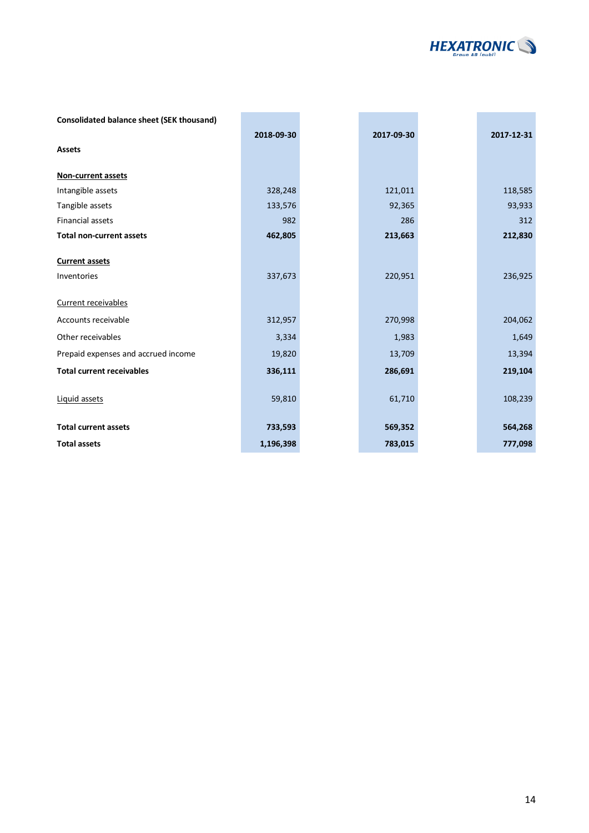

| <b>Consolidated balance sheet (SEK thousand)</b> |            |            |            |
|--------------------------------------------------|------------|------------|------------|
|                                                  | 2018-09-30 | 2017-09-30 | 2017-12-31 |
| <b>Assets</b>                                    |            |            |            |
| Non-current assets                               |            |            |            |
|                                                  |            |            |            |
| Intangible assets                                | 328,248    | 121,011    | 118,585    |
| Tangible assets                                  | 133,576    | 92,365     | 93,933     |
| <b>Financial assets</b>                          | 982        | 286        | 312        |
| <b>Total non-current assets</b>                  | 462,805    | 213,663    | 212,830    |
|                                                  |            |            |            |
| <b>Current assets</b>                            |            |            |            |
| Inventories                                      | 337,673    | 220,951    | 236,925    |
|                                                  |            |            |            |
| Current receivables                              |            |            |            |
| Accounts receivable                              | 312,957    | 270,998    | 204,062    |
| Other receivables                                | 3,334      | 1,983      | 1,649      |
| Prepaid expenses and accrued income              | 19,820     | 13,709     | 13,394     |
| <b>Total current receivables</b>                 | 336,111    | 286,691    | 219,104    |
|                                                  |            |            |            |
| Liquid assets                                    | 59,810     | 61,710     | 108,239    |
|                                                  |            |            |            |
| <b>Total current assets</b>                      | 733,593    | 569,352    | 564,268    |
| <b>Total assets</b>                              | 1,196,398  | 783,015    | 777,098    |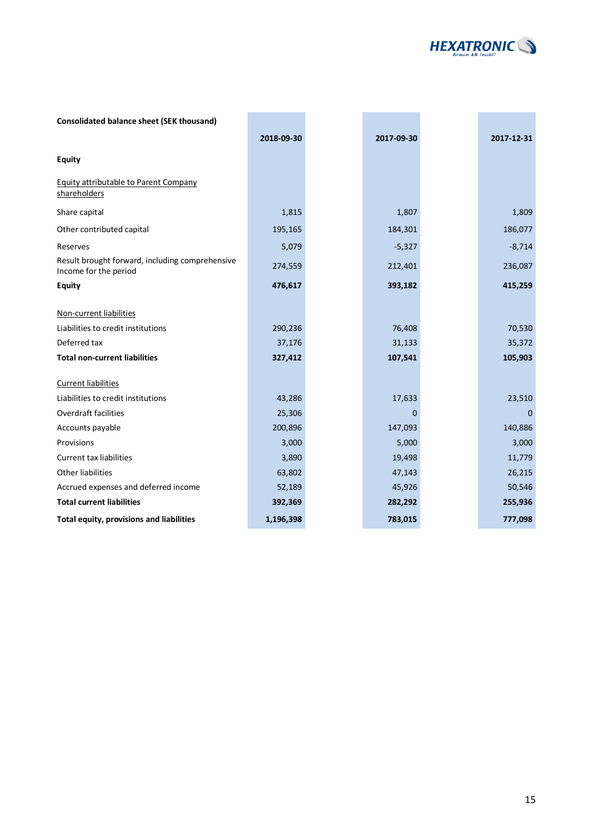

| <b>Consolidated balance sheet (SEK thousand)</b>                         |            |            |            |
|--------------------------------------------------------------------------|------------|------------|------------|
|                                                                          | 2018-09-30 | 2017-09-30 | 2017-12-31 |
| <b>Equity</b>                                                            |            |            |            |
| Equity attributable to Parent Company<br>shareholders                    |            |            |            |
| Share capital                                                            | 1,815      | 1,807      | 1,809      |
| Other contributed capital                                                | 195,165    | 184,301    | 186,077    |
| Reserves                                                                 | 5,079      | $-5,327$   | $-8,714$   |
| Result brought forward, including comprehensive<br>Income for the period | 274,559    | 212,401    | 236,087    |
| <b>Equity</b>                                                            | 476,617    | 393,182    | 415,259    |
| Non-current liabilities<br>Liabilities to credit institutions            | 290,236    | 76,408     | 70,530     |
| Deferred tax                                                             | 37,176     | 31,133     | 35,372     |
| <b>Total non-current liabilities</b>                                     | 327,412    | 107,541    | 105,903    |
| <b>Current liabilities</b>                                               |            |            |            |
| Liabilities to credit institutions                                       | 43,286     | 17,633     | 23,510     |
| <b>Overdraft facilities</b>                                              | 25,306     | 0          | $\Omega$   |
| Accounts payable                                                         | 200,896    | 147,093    | 140,886    |
| Provisions                                                               | 3,000      | 5,000      | 3,000      |
| <b>Current tax liabilities</b>                                           | 3,890      | 19,498     | 11,779     |
| Other liabilities                                                        | 63,802     | 47,143     | 26,215     |
| Accrued expenses and deferred income                                     | 52,189     | 45,926     | 50,546     |
| <b>Total current liabilities</b>                                         | 392,369    | 282,292    | 255,936    |
| Total equity, provisions and liabilities                                 | 1,196,398  | 783,015    | 777,098    |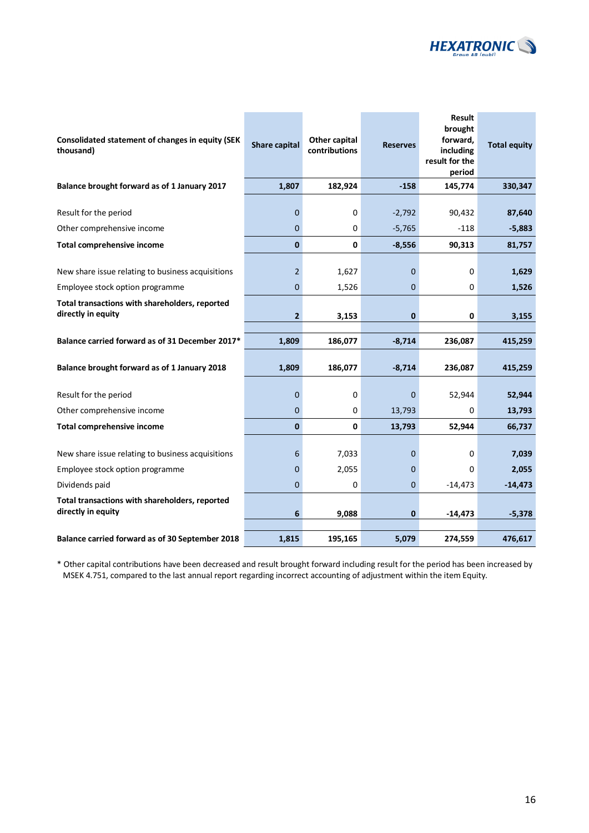

| Consolidated statement of changes in equity (SEK<br>thousand)        | <b>Share capital</b> | Other capital<br>contributions | <b>Reserves</b> | <b>Result</b><br>brought<br>forward,<br>including<br>result for the<br>period | <b>Total equity</b> |
|----------------------------------------------------------------------|----------------------|--------------------------------|-----------------|-------------------------------------------------------------------------------|---------------------|
| Balance brought forward as of 1 January 2017                         | 1,807                | 182,924                        | $-158$          | 145,774                                                                       | 330,347             |
| Result for the period                                                | $\Omega$             | $\Omega$                       | $-2,792$        | 90,432                                                                        | 87,640              |
| Other comprehensive income                                           | $\mathbf 0$          | 0                              | $-5,765$        | $-118$                                                                        | $-5,883$            |
| <b>Total comprehensive income</b>                                    | $\mathbf{0}$         | 0                              | $-8,556$        | 90,313                                                                        | 81,757              |
| New share issue relating to business acquisitions                    | $\overline{2}$       | 1,627                          | 0               | 0                                                                             | 1,629               |
| Employee stock option programme                                      | $\overline{0}$       | 1,526                          | 0               | 0                                                                             | 1,526               |
| Total transactions with shareholders, reported<br>directly in equity | $\overline{2}$       | 3,153                          | 0               | 0                                                                             | 3,155               |
| Balance carried forward as of 31 December 2017*                      | 1,809                | 186,077                        | $-8,714$        | 236,087                                                                       | 415,259             |
| Balance brought forward as of 1 January 2018                         | 1,809                | 186,077                        | $-8,714$        | 236,087                                                                       | 415,259             |
| Result for the period                                                | $\overline{0}$       | 0                              | $\mathbf 0$     | 52,944                                                                        | 52,944              |
| Other comprehensive income                                           | $\mathbf 0$          | 0                              | 13,793          | 0                                                                             | 13,793              |
| <b>Total comprehensive income</b>                                    | $\mathbf{0}$         | $\mathbf 0$                    | 13,793          | 52,944                                                                        | 66,737              |
| New share issue relating to business acquisitions                    | 6                    | 7,033                          | $\Omega$        | 0                                                                             | 7,039               |
| Employee stock option programme                                      | $\Omega$             | 2,055                          | $\Omega$        | 0                                                                             | 2,055               |
| Dividends paid                                                       | $\Omega$             | 0                              | 0               | $-14,473$                                                                     | $-14,473$           |
| Total transactions with shareholders, reported<br>directly in equity | 6                    | 9,088                          | 0               | $-14,473$                                                                     | $-5,378$            |
| Balance carried forward as of 30 September 2018                      | 1,815                | 195,165                        | 5,079           | 274,559                                                                       | 476,617             |

\* Other capital contributions have been decreased and result brought forward including result for the period has been increased by MSEK 4.751, compared to the last annual report regarding incorrect accounting of adjustment within the item Equity.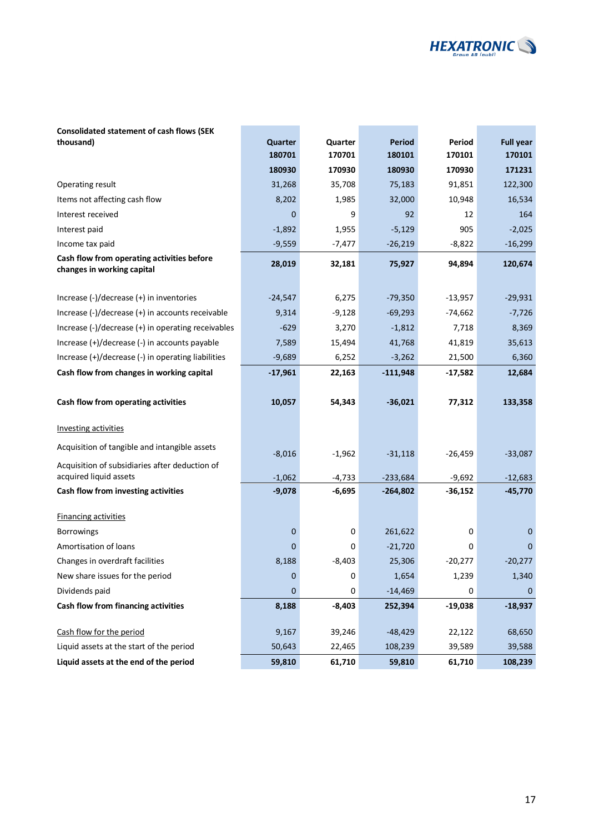

#### **Consolidated statement of cash flows (SEK thousand) Quarter Quarter Period Period Full year**

|                                                                          | 180701    | 170701   | 180101     | 170101    | 170101      |
|--------------------------------------------------------------------------|-----------|----------|------------|-----------|-------------|
|                                                                          | 180930    | 170930   | 180930     | 170930    | 171231      |
| Operating result                                                         | 31,268    | 35,708   | 75,183     | 91,851    | 122,300     |
| Items not affecting cash flow                                            | 8,202     | 1,985    | 32,000     | 10,948    | 16,534      |
| Interest received                                                        | 0         | 9        | 92         | 12        | 164         |
| Interest paid                                                            | $-1,892$  | 1,955    | $-5,129$   | 905       | $-2,025$    |
| Income tax paid                                                          | $-9,559$  | $-7,477$ | $-26,219$  | $-8,822$  | $-16,299$   |
| Cash flow from operating activities before<br>changes in working capital | 28,019    | 32,181   | 75,927     | 94,894    | 120,674     |
| Increase (-)/decrease (+) in inventories                                 | $-24,547$ | 6,275    | $-79,350$  | $-13,957$ | $-29,931$   |
| Increase (-)/decrease (+) in accounts receivable                         | 9,314     | $-9,128$ | $-69,293$  | $-74,662$ | $-7,726$    |
| Increase (-)/decrease (+) in operating receivables                       | $-629$    | 3,270    | $-1,812$   | 7,718     | 8,369       |
| Increase (+)/decrease (-) in accounts payable                            | 7,589     | 15,494   | 41,768     | 41,819    | 35,613      |
| Increase (+)/decrease (-) in operating liabilities                       | $-9,689$  | 6,252    | $-3,262$   | 21,500    | 6,360       |
| Cash flow from changes in working capital                                | $-17,961$ | 22,163   | $-111,948$ | $-17,582$ | 12,684      |
|                                                                          |           |          |            |           |             |
| Cash flow from operating activities                                      | 10,057    | 54,343   | $-36,021$  | 77,312    | 133,358     |
| <b>Investing activities</b>                                              |           |          |            |           |             |
| Acquisition of tangible and intangible assets                            | $-8,016$  | $-1,962$ | $-31,118$  | $-26,459$ | $-33,087$   |
| Acquisition of subsidiaries after deduction of                           |           |          |            |           |             |
| acquired liquid assets                                                   | $-1,062$  | $-4,733$ | $-233,684$ | $-9,692$  | $-12,683$   |
| Cash flow from investing activities                                      | $-9,078$  | $-6,695$ | $-264,802$ | $-36,152$ | $-45,770$   |
| <b>Financing activities</b>                                              |           |          |            |           |             |
| <b>Borrowings</b>                                                        | 0         | 0        | 261,622    | 0         | 0           |
| Amortisation of loans                                                    | 0         | 0        | $-21,720$  | 0         | 0           |
| Changes in overdraft facilities                                          | 8,188     | $-8,403$ | 25,306     | $-20,277$ | $-20,277$   |
| New share issues for the period                                          | 0         | 0        | 1,654      | 1,239     | 1,340       |
| Dividends paid                                                           | 0         |          | $-14,469$  |           | $\mathbf 0$ |
| Cash flow from financing activities                                      | 8,188     | $-8,403$ | 252,394    | $-19,038$ | $-18,937$   |
| Cash flow for the period                                                 | 9,167     | 39,246   | $-48,429$  | 22,122    | 68,650      |
| Liquid assets at the start of the period                                 | 50,643    | 22,465   | 108,239    | 39,589    | 39,588      |
| Liquid assets at the end of the period                                   | 59,810    | 61,710   | 59,810     | 61,710    | 108,239     |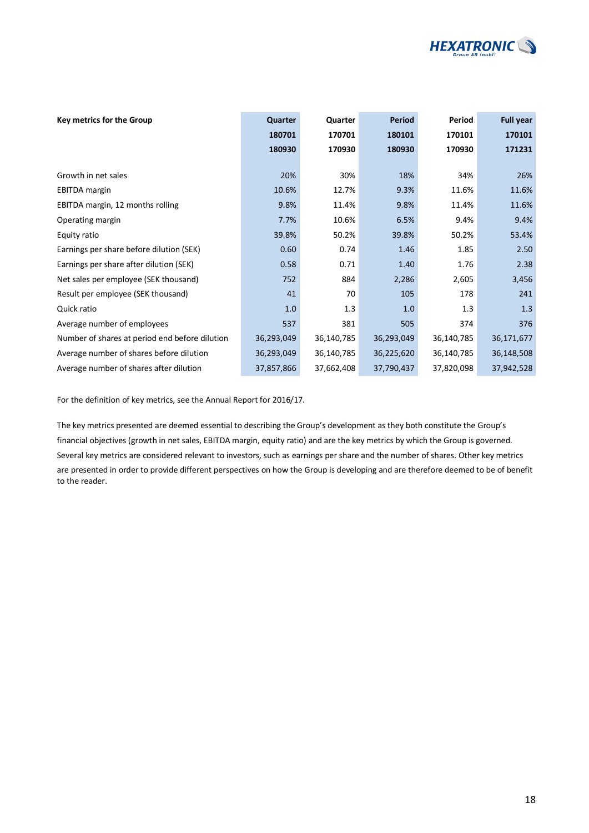

| Key metrics for the Group                      | Quarter    | Quarter    | <b>Period</b> | Period     | Full year  |
|------------------------------------------------|------------|------------|---------------|------------|------------|
|                                                | 180701     | 170701     | 180101        | 170101     | 170101     |
|                                                | 180930     | 170930     | 180930        | 170930     | 171231     |
|                                                |            |            |               |            |            |
| Growth in net sales                            | 20%        | 30%        | 18%           | 34%        | 26%        |
| <b>EBITDA</b> margin                           | 10.6%      | 12.7%      | 9.3%          | 11.6%      | 11.6%      |
| EBITDA margin, 12 months rolling               | 9.8%       | 11.4%      | 9.8%          | 11.4%      | 11.6%      |
| Operating margin                               | 7.7%       | 10.6%      | 6.5%          | 9.4%       | 9.4%       |
| Equity ratio                                   | 39.8%      | 50.2%      | 39.8%         | 50.2%      | 53.4%      |
| Earnings per share before dilution (SEK)       | 0.60       | 0.74       | 1.46          | 1.85       | 2.50       |
| Earnings per share after dilution (SEK)        | 0.58       | 0.71       | 1.40          | 1.76       | 2.38       |
| Net sales per employee (SEK thousand)          | 752        | 884        | 2,286         | 2,605      | 3,456      |
| Result per employee (SEK thousand)             | 41         | 70         | 105           | 178        | 241        |
| Quick ratio                                    | 1.0        | 1.3        | 1.0           | 1.3        | 1.3        |
| Average number of employees                    | 537        | 381        | 505           | 374        | 376        |
| Number of shares at period end before dilution | 36,293,049 | 36,140,785 | 36,293,049    | 36,140,785 | 36,171,677 |
| Average number of shares before dilution       | 36,293,049 | 36,140,785 | 36,225,620    | 36,140,785 | 36,148,508 |
| Average number of shares after dilution        | 37,857,866 | 37,662,408 | 37,790,437    | 37,820,098 | 37,942,528 |

For the definition of key metrics, see the Annual Report for 2016/17.

The key metrics presented are deemed essential to describing the Group's development as they both constitute the Group's financial objectives (growth in net sales, EBITDA margin, equity ratio) and are the key metrics by which the Group is governed. Several key metrics are considered relevant to investors, such as earnings per share and the number of shares. Other key metrics are presented in order to provide different perspectives on how the Group is developing and are therefore deemed to be of benefit to the reader.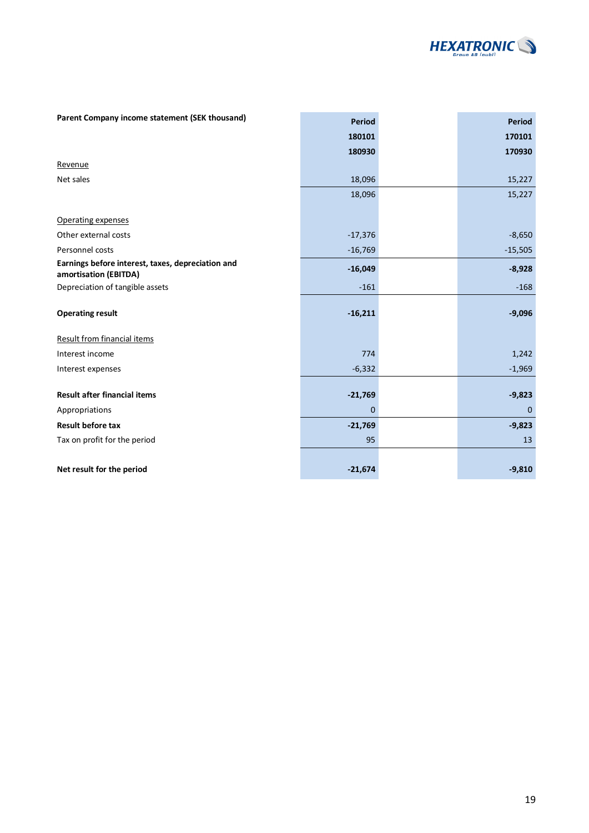

| Parent Company income statement (SEK thousand)                             | Period      | <b>Period</b> |
|----------------------------------------------------------------------------|-------------|---------------|
|                                                                            | 180101      | 170101        |
|                                                                            | 180930      | 170930        |
| Revenue                                                                    |             |               |
| Net sales                                                                  | 18,096      | 15,227        |
|                                                                            | 18,096      | 15,227        |
| Operating expenses                                                         |             |               |
| Other external costs                                                       | $-17,376$   | $-8,650$      |
| Personnel costs                                                            |             | $-15,505$     |
|                                                                            | $-16,769$   |               |
| Earnings before interest, taxes, depreciation and<br>amortisation (EBITDA) | $-16,049$   | $-8,928$      |
| Depreciation of tangible assets                                            | $-161$      | $-168$        |
|                                                                            |             |               |
| <b>Operating result</b>                                                    | $-16,211$   | $-9,096$      |
| <b>Result from financial items</b>                                         |             |               |
| Interest income                                                            | 774         | 1,242         |
| Interest expenses                                                          | $-6,332$    | $-1,969$      |
|                                                                            |             |               |
| <b>Result after financial items</b>                                        | $-21,769$   | $-9,823$      |
| Appropriations                                                             | $\mathbf 0$ | $\mathbf{0}$  |
| <b>Result before tax</b>                                                   | $-21,769$   | $-9,823$      |
| Tax on profit for the period                                               | 95          | 13            |
|                                                                            |             |               |
| Net result for the period                                                  | $-21,674$   | $-9,810$      |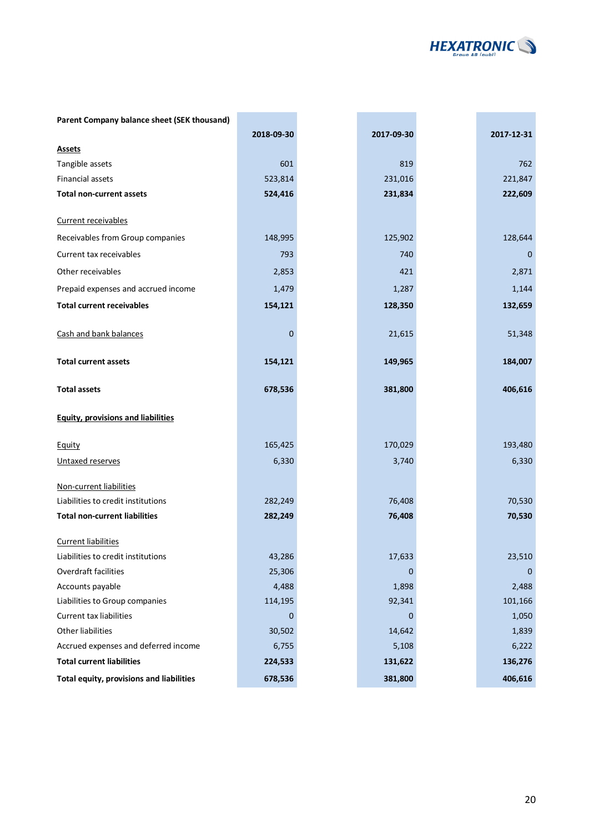

| Parent Company balance sheet (SEK thousand) |            |             |             |
|---------------------------------------------|------------|-------------|-------------|
|                                             | 2018-09-30 | 2017-09-30  | 2017-12-31  |
| <b>Assets</b>                               |            |             |             |
| Tangible assets                             | 601        | 819         | 762         |
| <b>Financial assets</b>                     | 523,814    | 231,016     | 221,847     |
| <b>Total non-current assets</b>             | 524,416    | 231,834     | 222,609     |
| Current receivables                         |            |             |             |
| Receivables from Group companies            | 148,995    | 125,902     | 128,644     |
| Current tax receivables                     | 793        | 740         | 0           |
| Other receivables                           | 2,853      | 421         | 2,871       |
| Prepaid expenses and accrued income         | 1,479      | 1,287       | 1,144       |
| <b>Total current receivables</b>            | 154,121    | 128,350     | 132,659     |
|                                             |            |             |             |
| Cash and bank balances                      | 0          | 21,615      | 51,348      |
| <b>Total current assets</b>                 | 154,121    | 149,965     | 184,007     |
|                                             |            |             |             |
| <b>Total assets</b>                         | 678,536    | 381,800     | 406,616     |
| <b>Equity, provisions and liabilities</b>   |            |             |             |
| Equity                                      | 165,425    | 170,029     | 193,480     |
| Untaxed reserves                            | 6,330      | 3,740       | 6,330       |
| Non-current liabilities                     |            |             |             |
| Liabilities to credit institutions          | 282,249    | 76,408      | 70,530      |
| <b>Total non-current liabilities</b>        | 282,249    | 76,408      | 70,530      |
| <b>Current liabilities</b>                  |            |             |             |
| Liabilities to credit institutions          | 43,286     | 17,633      | 23,510      |
| Overdraft facilities                        | 25,306     | $\pmb{0}$   | $\mathbf 0$ |
| Accounts payable                            | 4,488      | 1,898       | 2,488       |
| Liabilities to Group companies              | 114,195    | 92,341      | 101,166     |
| <b>Current tax liabilities</b>              | 0          | $\mathbf 0$ | 1,050       |
| Other liabilities                           | 30,502     | 14,642      | 1,839       |
| Accrued expenses and deferred income        | 6,755      | 5,108       | 6,222       |
| <b>Total current liabilities</b>            | 224,533    | 131,622     | 136,276     |
| Total equity, provisions and liabilities    | 678,536    | 381,800     | 406,616     |

i.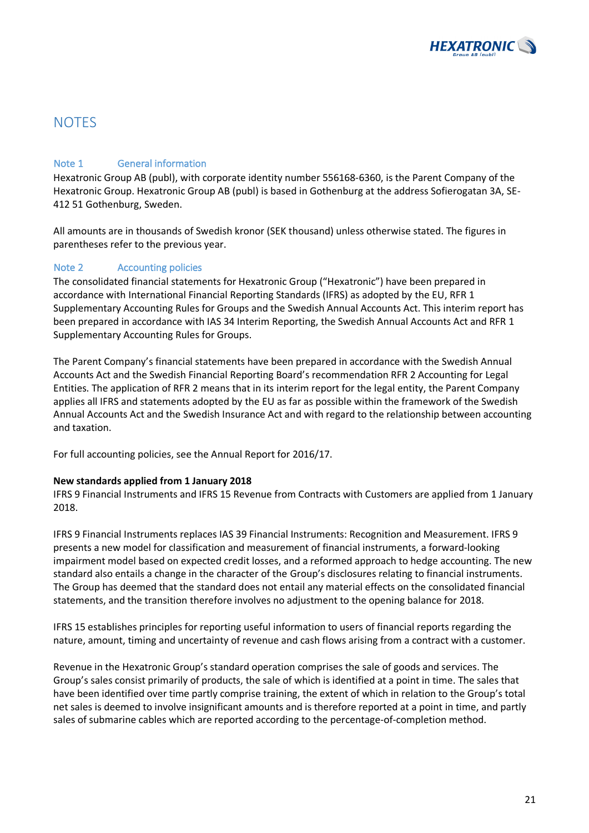

### **NOTES**

### Note 1 General information

Hexatronic Group AB (publ), with corporate identity number 556168-6360, is the Parent Company of the Hexatronic Group. Hexatronic Group AB (publ) is based in Gothenburg at the address Sofierogatan 3A, SE-412 51 Gothenburg, Sweden.

All amounts are in thousands of Swedish kronor (SEK thousand) unless otherwise stated. The figures in parentheses refer to the previous year.

### Note 2 Accounting policies

The consolidated financial statements for Hexatronic Group ("Hexatronic") have been prepared in accordance with International Financial Reporting Standards (IFRS) as adopted by the EU, RFR 1 Supplementary Accounting Rules for Groups and the Swedish Annual Accounts Act. This interim report has been prepared in accordance with IAS 34 Interim Reporting, the Swedish Annual Accounts Act and RFR 1 Supplementary Accounting Rules for Groups.

The Parent Company's financial statements have been prepared in accordance with the Swedish Annual Accounts Act and the Swedish Financial Reporting Board's recommendation RFR 2 Accounting for Legal Entities. The application of RFR 2 means that in its interim report for the legal entity, the Parent Company applies all IFRS and statements adopted by the EU as far as possible within the framework of the Swedish Annual Accounts Act and the Swedish Insurance Act and with regard to the relationship between accounting and taxation.

For full accounting policies, see the Annual Report for 2016/17.

#### **New standards applied from 1 January 2018**

IFRS 9 Financial Instruments and IFRS 15 Revenue from Contracts with Customers are applied from 1 January 2018.

IFRS 9 Financial Instruments replaces IAS 39 Financial Instruments: Recognition and Measurement. IFRS 9 presents a new model for classification and measurement of financial instruments, a forward-looking impairment model based on expected credit losses, and a reformed approach to hedge accounting. The new standard also entails a change in the character of the Group's disclosures relating to financial instruments. The Group has deemed that the standard does not entail any material effects on the consolidated financial statements, and the transition therefore involves no adjustment to the opening balance for 2018.

IFRS 15 establishes principles for reporting useful information to users of financial reports regarding the nature, amount, timing and uncertainty of revenue and cash flows arising from a contract with a customer.

Revenue in the Hexatronic Group's standard operation comprises the sale of goods and services. The Group's sales consist primarily of products, the sale of which is identified at a point in time. The sales that have been identified over time partly comprise training, the extent of which in relation to the Group's total net sales is deemed to involve insignificant amounts and is therefore reported at a point in time, and partly sales of submarine cables which are reported according to the percentage-of-completion method.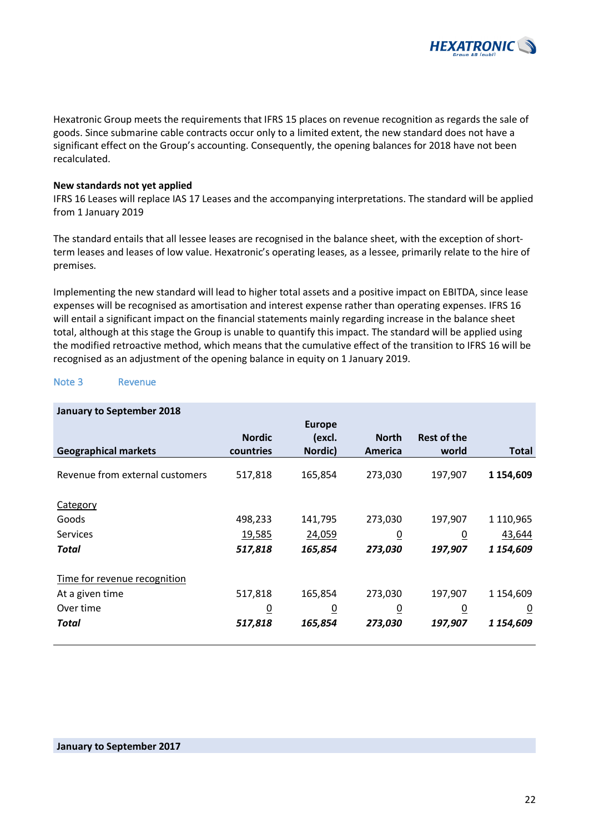

Hexatronic Group meets the requirements that IFRS 15 places on revenue recognition as regards the sale of goods. Since submarine cable contracts occur only to a limited extent, the new standard does not have a significant effect on the Group's accounting. Consequently, the opening balances for 2018 have not been recalculated.

#### **New standards not yet applied**

IFRS 16 Leases will replace IAS 17 Leases and the accompanying interpretations. The standard will be applied from 1 January 2019

The standard entails that all lessee leases are recognised in the balance sheet, with the exception of shortterm leases and leases of low value. Hexatronic's operating leases, as a lessee, primarily relate to the hire of premises.

Implementing the new standard will lead to higher total assets and a positive impact on EBITDA, since lease expenses will be recognised as amortisation and interest expense rather than operating expenses. IFRS 16 will entail a significant impact on the financial statements mainly regarding increase in the balance sheet total, although at this stage the Group is unable to quantify this impact. The standard will be applied using the modified retroactive method, which means that the cumulative effect of the transition to IFRS 16 will be recognised as an adjustment of the opening balance in equity on 1 January 2019.

#### Note 3 Revenue

| <b>January to September 2018</b> |                |                |                 |                    |                |
|----------------------------------|----------------|----------------|-----------------|--------------------|----------------|
|                                  |                | <b>Europe</b>  |                 |                    |                |
|                                  | <b>Nordic</b>  | (excl.         | <b>North</b>    | <b>Rest of the</b> |                |
| <b>Geographical markets</b>      | countries      | Nordic)        | America         | world              | <b>Total</b>   |
| Revenue from external customers  | 517,818        | 165,854        | 273,030         | 197,907            | 1 154,609      |
| Category                         |                |                |                 |                    |                |
| Goods                            | 498,233        | 141,795        | 273,030         | 197,907            | 1 110,965      |
| <b>Services</b>                  | 19,585         | 24,059         | $\underline{0}$ | $\overline{0}$     | 43,644         |
| Total                            | 517,818        | 165,854        | 273,030         | 197,907            | 1 154,609      |
| Time for revenue recognition     |                |                |                 |                    |                |
| At a given time                  | 517,818        | 165,854        | 273,030         | 197,907            | 1 154,609      |
| Over time                        | $\overline{0}$ | $\overline{0}$ | $\overline{0}$  | $\overline{0}$     | $\overline{0}$ |
| Total                            | 517,818        | 165,854        | 273,030         | 197,907            | 1 154,609      |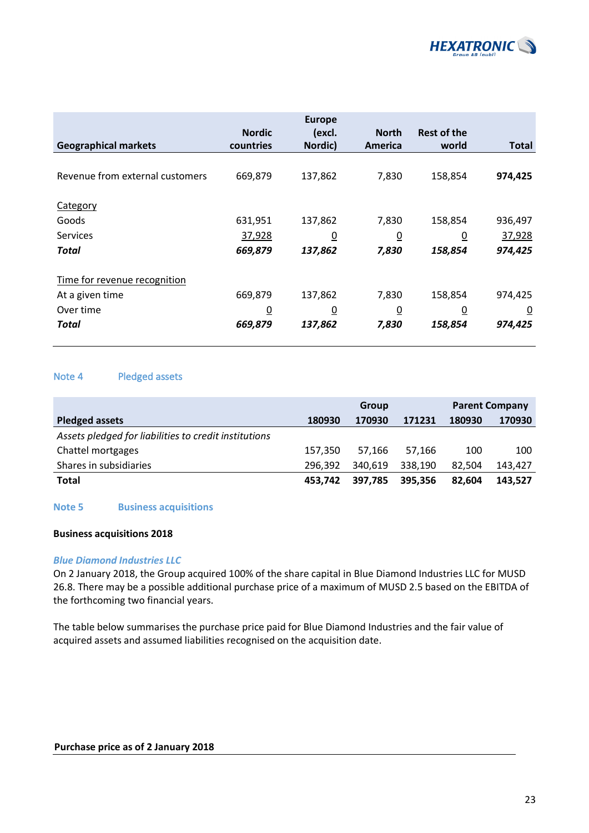

| <b>Geographical markets</b>     | <b>Nordic</b><br>countries | <b>Europe</b><br>(excl.<br>Nordic) | <b>North</b><br>America | <b>Rest of the</b><br>world | <b>Total</b> |
|---------------------------------|----------------------------|------------------------------------|-------------------------|-----------------------------|--------------|
|                                 |                            |                                    |                         |                             |              |
| Revenue from external customers | 669,879                    | 137,862                            | 7,830                   | 158,854                     | 974,425      |
| Category                        |                            |                                    |                         |                             |              |
| Goods                           | 631,951                    | 137,862                            | 7,830                   | 158,854                     | 936,497      |
| <b>Services</b>                 | 37,928                     | $\overline{0}$                     | $\overline{0}$          | $\overline{0}$              | 37,928       |
| Total                           | 669,879                    | 137,862                            | 7,830                   | 158,854                     | 974,425      |
| Time for revenue recognition    |                            |                                    |                         |                             |              |
| At a given time                 | 669,879                    | 137,862                            | 7,830                   | 158,854                     | 974,425      |
| Over time                       | $\overline{0}$             | $\overline{0}$                     | $\overline{0}$          | $\overline{0}$              | <u>0</u>     |
| Total                           | 669,879                    | 137,862                            | 7,830                   | 158,854                     | 974,425      |

### Note 4 Pledged assets

|                                                       | Group   |         | <b>Parent Company</b> |        |         |
|-------------------------------------------------------|---------|---------|-----------------------|--------|---------|
| <b>Pledged assets</b>                                 | 180930  | 170930  | 171231                | 180930 | 170930  |
| Assets pledged for liabilities to credit institutions |         |         |                       |        |         |
| Chattel mortgages                                     | 157.350 | 57.166  | 57.166                | 100    | 100     |
| Shares in subsidiaries                                | 296.392 | 340.619 | 338,190               | 82.504 | 143.427 |
| Total                                                 | 453.742 | 397.785 | 395.356               | 82.604 | 143.527 |

#### **Note 5 Business acquisitions**

#### **Business acquisitions 2018**

#### *Blue Diamond Industries LLC*

On 2 January 2018, the Group acquired 100% of the share capital in Blue Diamond Industries LLC for MUSD 26.8. There may be a possible additional purchase price of a maximum of MUSD 2.5 based on the EBITDA of the forthcoming two financial years.

The table below summarises the purchase price paid for Blue Diamond Industries and the fair value of acquired assets and assumed liabilities recognised on the acquisition date.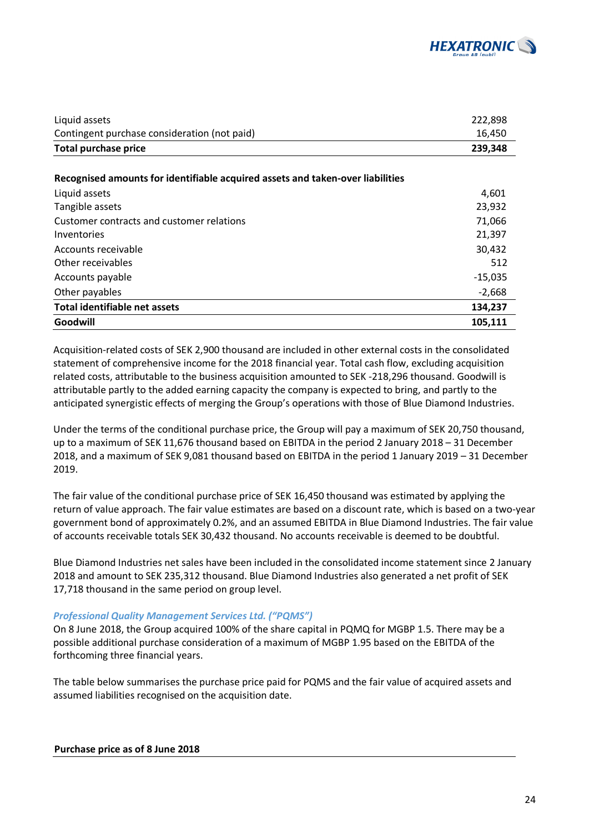

| Liquid assets                                                                  | 222,898   |
|--------------------------------------------------------------------------------|-----------|
| Contingent purchase consideration (not paid)                                   | 16,450    |
| <b>Total purchase price</b>                                                    | 239,348   |
|                                                                                |           |
| Recognised amounts for identifiable acquired assets and taken-over liabilities |           |
| Liquid assets                                                                  | 4,601     |
| Tangible assets                                                                | 23,932    |
| Customer contracts and customer relations                                      | 71,066    |
| Inventories                                                                    | 21,397    |
| Accounts receivable                                                            | 30,432    |
| Other receivables                                                              | 512       |
| Accounts payable                                                               | $-15,035$ |
| Other payables                                                                 | $-2,668$  |
| Total identifiable net assets                                                  | 134,237   |
| Goodwill                                                                       | 105,111   |

Acquisition-related costs of SEK 2,900 thousand are included in other external costs in the consolidated statement of comprehensive income for the 2018 financial year. Total cash flow, excluding acquisition related costs, attributable to the business acquisition amounted to SEK -218,296 thousand. Goodwill is attributable partly to the added earning capacity the company is expected to bring, and partly to the anticipated synergistic effects of merging the Group's operations with those of Blue Diamond Industries.

Under the terms of the conditional purchase price, the Group will pay a maximum of SEK 20,750 thousand, up to a maximum of SEK 11,676 thousand based on EBITDA in the period 2 January 2018 – 31 December 2018, and a maximum of SEK 9,081 thousand based on EBITDA in the period 1 January 2019 – 31 December 2019.

The fair value of the conditional purchase price of SEK 16,450 thousand was estimated by applying the return of value approach. The fair value estimates are based on a discount rate, which is based on a two-year government bond of approximately 0.2%, and an assumed EBITDA in Blue Diamond Industries. The fair value of accounts receivable totals SEK 30,432 thousand. No accounts receivable is deemed to be doubtful.

Blue Diamond Industries net sales have been included in the consolidated income statement since 2 January 2018 and amount to SEK 235,312 thousand. Blue Diamond Industries also generated a net profit of SEK 17,718 thousand in the same period on group level.

#### *Professional Quality Management Services Ltd. ("PQMS")*

On 8 June 2018, the Group acquired 100% of the share capital in PQMQ for MGBP 1.5. There may be a possible additional purchase consideration of a maximum of MGBP 1.95 based on the EBITDA of the forthcoming three financial years.

The table below summarises the purchase price paid for PQMS and the fair value of acquired assets and assumed liabilities recognised on the acquisition date.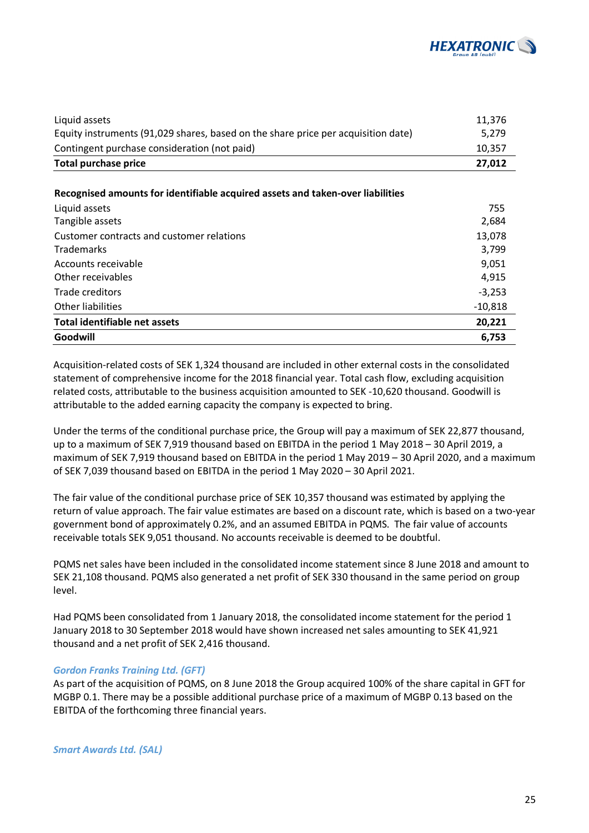

| Liquid assets                                                                     | 11.376 |
|-----------------------------------------------------------------------------------|--------|
| Equity instruments (91,029 shares, based on the share price per acquisition date) | 5.279  |
| Contingent purchase consideration (not paid)                                      | 10.357 |
| Total purchase price                                                              | 27.012 |

#### **Recognised amounts for identifiable acquired assets and taken-over liabilities**

| Liquid assets                             | 755       |
|-------------------------------------------|-----------|
| Tangible assets                           | 2,684     |
| Customer contracts and customer relations | 13,078    |
| <b>Trademarks</b>                         | 3,799     |
| Accounts receivable                       | 9,051     |
| Other receivables                         | 4,915     |
| Trade creditors                           | $-3,253$  |
| Other liabilities                         | $-10,818$ |
| Total identifiable net assets             | 20,221    |
| Goodwill                                  | 6,753     |

Acquisition-related costs of SEK 1,324 thousand are included in other external costs in the consolidated statement of comprehensive income for the 2018 financial year. Total cash flow, excluding acquisition related costs, attributable to the business acquisition amounted to SEK -10,620 thousand. Goodwill is attributable to the added earning capacity the company is expected to bring.

Under the terms of the conditional purchase price, the Group will pay a maximum of SEK 22,877 thousand, up to a maximum of SEK 7,919 thousand based on EBITDA in the period 1 May 2018 – 30 April 2019, a maximum of SEK 7,919 thousand based on EBITDA in the period 1 May 2019 – 30 April 2020, and a maximum of SEK 7,039 thousand based on EBITDA in the period 1 May 2020 – 30 April 2021.

The fair value of the conditional purchase price of SEK 10,357 thousand was estimated by applying the return of value approach. The fair value estimates are based on a discount rate, which is based on a two-year government bond of approximately 0.2%, and an assumed EBITDA in PQMS. The fair value of accounts receivable totals SEK 9,051 thousand. No accounts receivable is deemed to be doubtful.

PQMS net sales have been included in the consolidated income statement since 8 June 2018 and amount to SEK 21,108 thousand. PQMS also generated a net profit of SEK 330 thousand in the same period on group level.

Had PQMS been consolidated from 1 January 2018, the consolidated income statement for the period 1 January 2018 to 30 September 2018 would have shown increased net sales amounting to SEK 41,921 thousand and a net profit of SEK 2,416 thousand.

#### *Gordon Franks Training Ltd. (GFT)*

As part of the acquisition of PQMS, on 8 June 2018 the Group acquired 100% of the share capital in GFT for MGBP 0.1. There may be a possible additional purchase price of a maximum of MGBP 0.13 based on the EBITDA of the forthcoming three financial years.

*Smart Awards Ltd. (SAL)*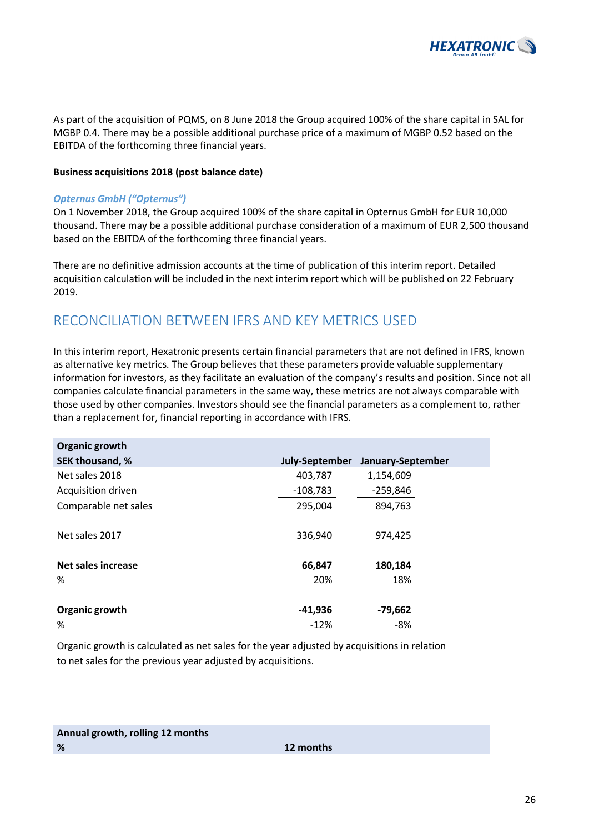

As part of the acquisition of PQMS, on 8 June 2018 the Group acquired 100% of the share capital in SAL for MGBP 0.4. There may be a possible additional purchase price of a maximum of MGBP 0.52 based on the EBITDA of the forthcoming three financial years.

#### **Business acquisitions 2018 (post balance date)**

#### *Opternus GmbH ("Opternus")*

On 1 November 2018, the Group acquired 100% of the share capital in Opternus GmbH for EUR 10,000 thousand. There may be a possible additional purchase consideration of a maximum of EUR 2,500 thousand based on the EBITDA of the forthcoming three financial years.

There are no definitive admission accounts at the time of publication of this interim report. Detailed acquisition calculation will be included in the next interim report which will be published on 22 February 2019.

### RECONCILIATION BETWEEN IFRS AND KEY METRICS USED

In this interim report, Hexatronic presents certain financial parameters that are not defined in IFRS, known as alternative key metrics. The Group believes that these parameters provide valuable supplementary information for investors, as they facilitate an evaluation of the company's results and position. Since not all companies calculate financial parameters in the same way, these metrics are not always comparable with those used by other companies. Investors should see the financial parameters as a complement to, rather than a replacement for, financial reporting in accordance with IFRS.

| Organic growth       |                |                   |
|----------------------|----------------|-------------------|
| SEK thousand, %      | July-September | January-September |
| Net sales 2018       | 403,787        | 1,154,609         |
| Acquisition driven   | $-108,783$     | -259,846          |
| Comparable net sales | 295,004        | 894,763           |
| Net sales 2017       | 336,940        | 974,425           |
| Net sales increase   | 66,847         | 180,184           |
| %                    | 20%            | 18%               |
| Organic growth       | -41,936        | -79,662           |
| %                    | $-12%$         | -8%               |

Organic growth is calculated as net sales for the year adjusted by acquisitions in relation to net sales for the previous year adjusted by acquisitions.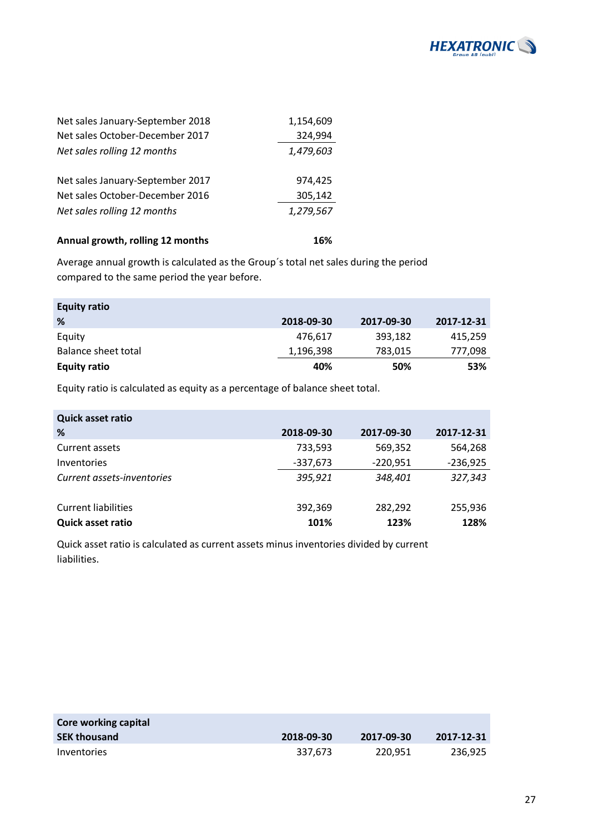

| Net sales January-September 2018 | 1,154,609 |
|----------------------------------|-----------|
| Net sales October-December 2017  | 324,994   |
| Net sales rolling 12 months      | 1,479,603 |
|                                  |           |
| Net sales January-September 2017 | 974.425   |
| Net sales October-December 2016  | 305,142   |
| Net sales rolling 12 months      | 1,279,567 |
| Annual growth, rolling 12 months | 16%       |
|                                  |           |

Average annual growth is calculated as the Group´s total net sales during the period compared to the same period the year before.

| <b>Equity ratio</b> |            |            |            |
|---------------------|------------|------------|------------|
| %                   | 2018-09-30 | 2017-09-30 | 2017-12-31 |
| Equity              | 476,617    | 393,182    | 415.259    |
| Balance sheet total | 1,196,398  | 783,015    | 777,098    |
| <b>Equity ratio</b> | 40%        | 50%        | 53%        |

Equity ratio is calculated as equity as a percentage of balance sheet total.

| <b>Quick asset ratio</b>   |            |            |            |
|----------------------------|------------|------------|------------|
| %                          | 2018-09-30 | 2017-09-30 | 2017-12-31 |
| Current assets             | 733,593    | 569,352    | 564,268    |
| Inventories                | $-337,673$ | $-220,951$ | $-236,925$ |
| Current assets-inventories | 395,921    | 348,401    | 327,343    |
| <b>Current liabilities</b> | 392,369    | 282,292    | 255,936    |
| Quick asset ratio          | 101%       | 123%       | 128%       |

Quick asset ratio is calculated as current assets minus inventories divided by current liabilities.

| Core working capital |            |            |            |
|----------------------|------------|------------|------------|
| <b>SEK thousand</b>  | 2018-09-30 | 2017-09-30 | 2017-12-31 |
| Inventories          | 337.673    | 220.951    | 236.925    |